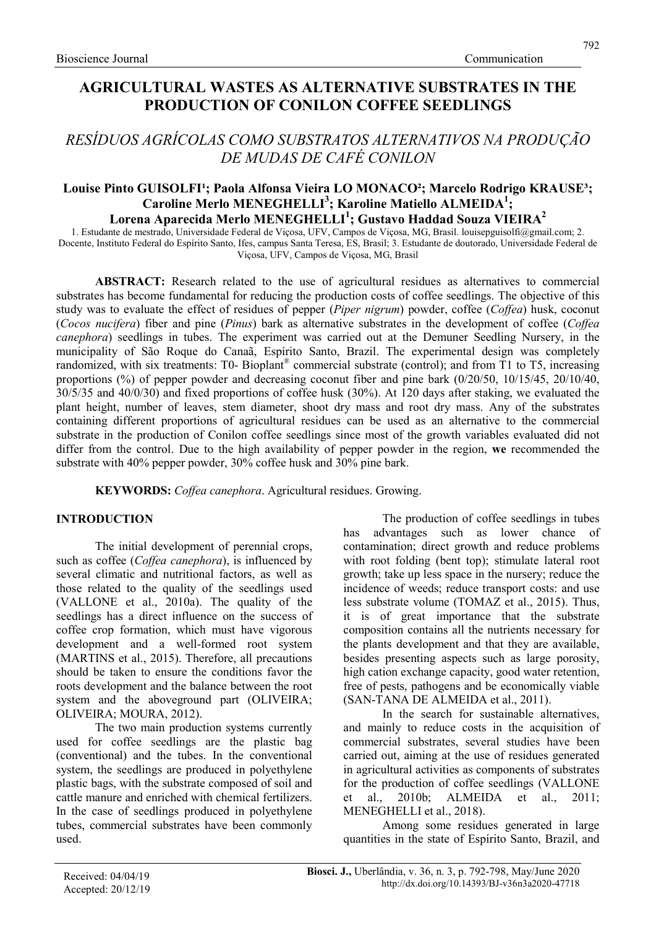# AGRICULTURAL WASTES AS ALTERNATIVE SUBSTRATES IN THE PRODUCTION OF CONILON COFFEE SEEDLINGS

# RESÍDUOS AGRÍCOLAS COMO SUBSTRATOS ALTERNATIVOS NA PRODUÇÃO DE MUDAS DE CAFÉ CONILON

## Louise Pinto GUISOLFI<sup>1</sup>; Paola Alfonsa Vieira LO MONACO<sup>2</sup>; Marcelo Rodrigo KRAUSE<sup>3</sup>; Caroline Merlo MENEGHELLI<sup>3</sup>; Karoline Matiello ALMEIDA<sup>1</sup>; Lorena Aparecida Merlo MENEGHELLI<sup>1</sup>; Gustavo Haddad Souza VIEIRA<sup>2</sup>

1. Estudante de mestrado, Universidade Federal de Viçosa, UFV, Campos de Viçosa, MG, Brasil. louisepguisolfi@gmail.com; 2. Docente, Instituto Federal do Espírito Santo, Ifes, campus Santa Teresa, ES, Brasil; 3. Estudante de doutorado, Universidade Federal de Viçosa, UFV, Campos de Viçosa, MG, Brasil

ABSTRACT: Research related to the use of agricultural residues as alternatives to commercial substrates has become fundamental for reducing the production costs of coffee seedlings. The objective of this study was to evaluate the effect of residues of pepper (Piper nigrum) powder, coffee (Coffea) husk, coconut (Cocos nucifera) fiber and pine (Pinus) bark as alternative substrates in the development of coffee (Coffea canephora) seedlings in tubes. The experiment was carried out at the Demuner Seedling Nursery, in the municipality of São Roque do Canaã, Espírito Santo, Brazil. The experimental design was completely randomized, with six treatments: T0- Bioplant® commercial substrate (control); and from T1 to T5, increasing proportions (%) of pepper powder and decreasing coconut fiber and pine bark (0/20/50, 10/15/45, 20/10/40, 30/5/35 and 40/0/30) and fixed proportions of coffee husk (30%). At 120 days after staking, we evaluated the plant height, number of leaves, stem diameter, shoot dry mass and root dry mass. Any of the substrates containing different proportions of agricultural residues can be used as an alternative to the commercial substrate in the production of Conilon coffee seedlings since most of the growth variables evaluated did not differ from the control. Due to the high availability of pepper powder in the region, we recommended the substrate with 40% pepper powder, 30% coffee husk and 30% pine bark.

KEYWORDS: Coffea canephora. Agricultural residues. Growing.

## INTRODUCTION

The initial development of perennial crops, such as coffee (*Coffea canephora*), is influenced by several climatic and nutritional factors, as well as those related to the quality of the seedlings used (VALLONE et al., 2010a). The quality of the seedlings has a direct influence on the success of coffee crop formation, which must have vigorous development and a well-formed root system (MARTINS et al., 2015). Therefore, all precautions should be taken to ensure the conditions favor the roots development and the balance between the root system and the aboveground part (OLIVEIRA; OLIVEIRA; MOURA, 2012).

The two main production systems currently used for coffee seedlings are the plastic bag (conventional) and the tubes. In the conventional system, the seedlings are produced in polyethylene plastic bags, with the substrate composed of soil and cattle manure and enriched with chemical fertilizers. In the case of seedlings produced in polyethylene tubes, commercial substrates have been commonly used.

The production of coffee seedlings in tubes has advantages such as lower chance of contamination; direct growth and reduce problems with root folding (bent top); stimulate lateral root growth; take up less space in the nursery; reduce the incidence of weeds; reduce transport costs: and use less substrate volume (TOMAZ et al., 2015). Thus, it is of great importance that the substrate composition contains all the nutrients necessary for the plants development and that they are available, besides presenting aspects such as large porosity, high cation exchange capacity, good water retention, free of pests, pathogens and be economically viable (SAN-TANA DE ALMEIDA et al., 2011).

In the search for sustainable alternatives, and mainly to reduce costs in the acquisition of commercial substrates, several studies have been carried out, aiming at the use of residues generated in agricultural activities as components of substrates for the production of coffee seedlings (VALLONE et al., 2010b; ALMEIDA et al., 2011; MENEGHELLI et al., 2018).

Among some residues generated in large quantities in the state of Espírito Santo, Brazil, and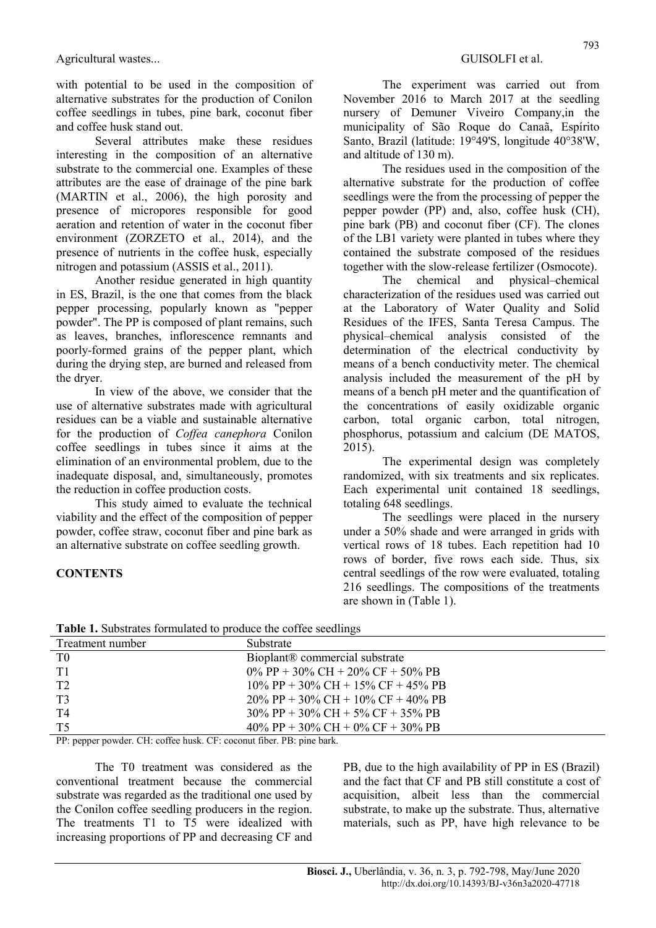with potential to be used in the composition of alternative substrates for the production of Conilon coffee seedlings in tubes, pine bark, coconut fiber and coffee husk stand out.

Several attributes make these residues interesting in the composition of an alternative substrate to the commercial one. Examples of these attributes are the ease of drainage of the pine bark (MARTIN et al., 2006), the high porosity and presence of micropores responsible for good aeration and retention of water in the coconut fiber environment (ZORZETO et al., 2014), and the presence of nutrients in the coffee husk, especially nitrogen and potassium (ASSIS et al., 2011).

Another residue generated in high quantity in ES, Brazil, is the one that comes from the black pepper processing, popularly known as "pepper powder". The PP is composed of plant remains, such as leaves, branches, inflorescence remnants and poorly-formed grains of the pepper plant, which during the drying step, are burned and released from the dryer.

In view of the above, we consider that the use of alternative substrates made with agricultural residues can be a viable and sustainable alternative for the production of Coffea canephora Conilon coffee seedlings in tubes since it aims at the elimination of an environmental problem, due to the inadequate disposal, and, simultaneously, promotes the reduction in coffee production costs.

This study aimed to evaluate the technical viability and the effect of the composition of pepper powder, coffee straw, coconut fiber and pine bark as an alternative substrate on coffee seedling growth.

## **CONTENTS**

The experiment was carried out from November 2016 to March 2017 at the seedling nursery of Demuner Viveiro Company,in the municipality of São Roque do Canaã, Espírito Santo, Brazil (latitude: 19°49'S, longitude 40°38'W, and altitude of 130 m).

The residues used in the composition of the alternative substrate for the production of coffee seedlings were the from the processing of pepper the pepper powder (PP) and, also, coffee husk (CH), pine bark (PB) and coconut fiber (CF). The clones of the LB1 variety were planted in tubes where they contained the substrate composed of the residues together with the slow-release fertilizer (Osmocote).

The chemical and physical–chemical characterization of the residues used was carried out at the Laboratory of Water Quality and Solid Residues of the IFES, Santa Teresa Campus. The physical–chemical analysis consisted of the determination of the electrical conductivity by means of a bench conductivity meter. The chemical analysis included the measurement of the pH by means of a bench pH meter and the quantification of the concentrations of easily oxidizable organic carbon, total organic carbon, total nitrogen, phosphorus, potassium and calcium (DE MATOS, 2015).

The experimental design was completely randomized, with six treatments and six replicates. Each experimental unit contained 18 seedlings, totaling 648 seedlings.

The seedlings were placed in the nursery under a 50% shade and were arranged in grids with vertical rows of 18 tubes. Each repetition had 10 rows of border, five rows each side. Thus, six central seedlings of the row were evaluated, totaling 216 seedlings. The compositions of the treatments are shown in (Table 1).

| Treatment number | Substrate                                  |
|------------------|--------------------------------------------|
| T <sub>0</sub>   | Bioplant <sup>®</sup> commercial substrate |
| T1               | $0\%$ PP + 30% CH + 20% CF + 50% PB        |
| T <sub>2</sub>   | $10\%$ PP + 30% CH + 15% CF + 45% PB       |
| T3               | $20\%$ PP + 30% CH + 10% CF + 40% PB       |
| T4               | $30\%$ PP + 30% CH + 5% CF + 35% PB        |
| T5               | 40\% PP + 30\% CH + 0\% CF + 30\% PB       |
|                  |                                            |

Table 1. Substrates formulated to produce the coffee seedlings

PP: pepper powder. CH: coffee husk. CF: coconut fiber. PB: pine bark.

The T0 treatment was considered as the conventional treatment because the commercial substrate was regarded as the traditional one used by the Conilon coffee seedling producers in the region. The treatments T1 to T5 were idealized with increasing proportions of PP and decreasing CF and PB, due to the high availability of PP in ES (Brazil) and the fact that CF and PB still constitute a cost of acquisition, albeit less than the commercial substrate, to make up the substrate. Thus, alternative materials, such as PP, have high relevance to be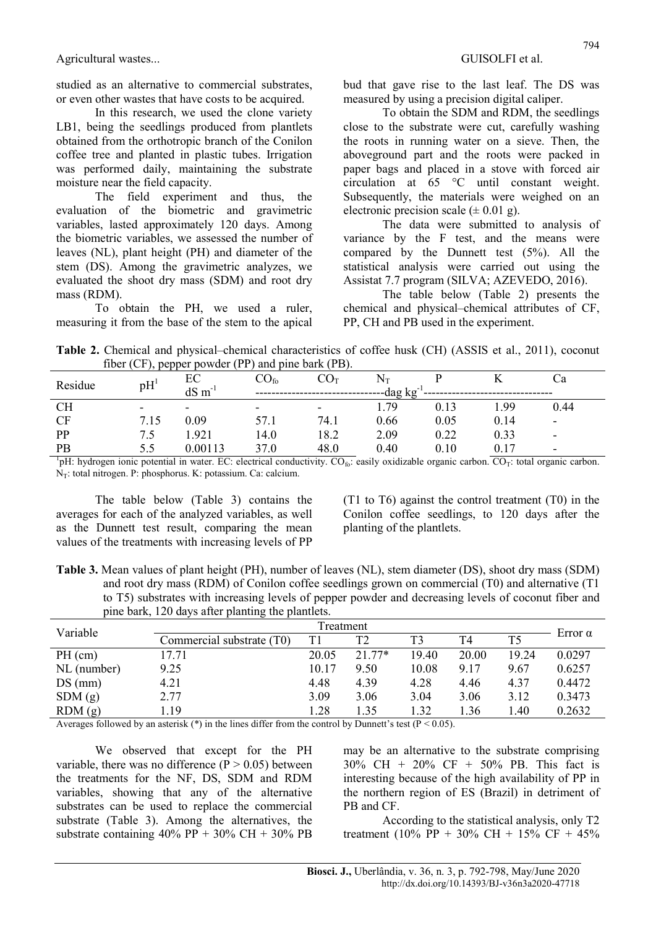Agricultural wastes... Agricultural wastes...

studied as an alternative to commercial substrates, or even other wastes that have costs to be acquired.

In this research, we used the clone variety LB1, being the seedlings produced from plantlets obtained from the orthotropic branch of the Conilon coffee tree and planted in plastic tubes. Irrigation was performed daily, maintaining the substrate moisture near the field capacity.

The field experiment and thus, the evaluation of the biometric and gravimetric variables, lasted approximately 120 days. Among the biometric variables, we assessed the number of leaves (NL), plant height (PH) and diameter of the stem (DS). Among the gravimetric analyzes, we evaluated the shoot dry mass (SDM) and root dry mass (RDM).

To obtain the PH, we used a ruler, measuring it from the base of the stem to the apical bud that gave rise to the last leaf. The DS was measured by using a precision digital caliper.

To obtain the SDM and RDM, the seedlings close to the substrate were cut, carefully washing the roots in running water on a sieve. Then, the aboveground part and the roots were packed in paper bags and placed in a stove with forced air circulation at 65 °C until constant weight. Subsequently, the materials were weighed on an electronic precision scale  $(\pm 0.01 \text{ g})$ .

The data were submitted to analysis of variance by the F test, and the means were compared by the Dunnett test (5%). All the statistical analysis were carried out using the Assistat 7.7 program (SILVA; AZEVEDO, 2016).

The table below (Table 2) presents the chemical and physical–chemical attributes of CF, PP, CH and PB used in the experiment.

Table 2. Chemical and physical–chemical characteristics of coffee husk (CH) (ASSIS et al., 2011), coconut fiber (CF), pepper powder (PP) and pine bark (PB).

| Residue   | pH <sup>1</sup>          | EС                       | $\mathrm{CO}_\mathrm{fo}$ | $\mathrm{CO}_\mathrm{T}$ | $\rm N_{\rm T}$ |      |      | Uа                       |  |
|-----------|--------------------------|--------------------------|---------------------------|--------------------------|-----------------|------|------|--------------------------|--|
|           |                          | $dS \, \text{m}^{-1}$    | $-dag kg-1$               |                          |                 |      |      |                          |  |
| <b>CH</b> | $\overline{\phantom{0}}$ | $\overline{\phantom{0}}$ | $\overline{\phantom{0}}$  | $\overline{\phantom{a}}$ | 1.79            | 0.13 | .99  | 0.44                     |  |
| CF        | 7.15                     | 0.09                     | 57.1                      | 74.1                     | 0.66            | 0.05 | 0.14 | -                        |  |
| PP        | ر.,                      | .921                     | 14.0                      | 18.2                     | 2.09            | 0.22 | 0.33 | $\overline{\phantom{a}}$ |  |
| PB        | 5.5                      | 0.00113                  | 37.0                      | 48.0                     | 0.40            | 0.10 | 0.17 | -                        |  |

<sup>1</sup>pH: hydrogen ionic potential in water. EC: electrical conductivity.  $CO<sub>6</sub>$ : easily oxidizable organic carbon.  $CO<sub>T</sub>$ : total organic carbon.  $N_T$ : total nitrogen. P: phosphorus. K: potassium. Ca: calcium.

The table below (Table 3) contains the averages for each of the analyzed variables, as well as the Dunnett test result, comparing the mean values of the treatments with increasing levels of PP (T1 to T6) against the control treatment (T0) in the Conilon coffee seedlings, to 120 days after the planting of the plantlets.

Table 3. Mean values of plant height (PH), number of leaves (NL), stem diameter (DS), shoot dry mass (SDM) and root dry mass (RDM) of Conilon coffee seedlings grown on commercial (T0) and alternative (T1 to T5) substrates with increasing levels of pepper powder and decreasing levels of coconut fiber and pine bark, 120 days after planting the plantlets.

| Variable    | Treatment                 |  |       |          |                |       |                |                |  |
|-------------|---------------------------|--|-------|----------|----------------|-------|----------------|----------------|--|
|             | Commercial substrate (T0) |  | T1    | T2       | T <sub>3</sub> | T4    | T <sub>5</sub> | Error $\alpha$ |  |
| $PH$ (cm)   | 17.71                     |  | 20.05 | $21.77*$ | 19.40          | 20.00 | 19.24          | 0.0297         |  |
| NL (number) | 9.25                      |  | 10.17 | 9.50     | 10.08          | 9.17  | 9.67           | 0.6257         |  |
| $DS$ (mm)   | 4.21                      |  | 4.48  | 4.39     | 4.28           | 4.46  | 4.37           | 0.4472         |  |
| SDM(g)      | 2.77                      |  | 3.09  | 3.06     | 3.04           | 3.06  | 3.12           | 0.3473         |  |
| RDM(g)      | 1.19                      |  | 1.28  | 1.35     | 1.32           | 1.36  | 1.40           | 0.2632         |  |

Averages followed by an asterisk (\*) in the lines differ from the control by Dunnett's test ( $P < 0.05$ ).

We observed that except for the PH variable, there was no difference  $(P > 0.05)$  between the treatments for the NF, DS, SDM and RDM variables, showing that any of the alternative substrates can be used to replace the commercial substrate (Table 3). Among the alternatives, the substrate containing  $40\%$  PP +  $30\%$  CH +  $30\%$  PB

may be an alternative to the substrate comprising 30% CH + 20% CF + 50% PB. This fact is interesting because of the high availability of PP in the northern region of ES (Brazil) in detriment of PB and CF.

According to the statistical analysis, only T2 treatment (10% PP + 30% CH + 15% CF + 45%)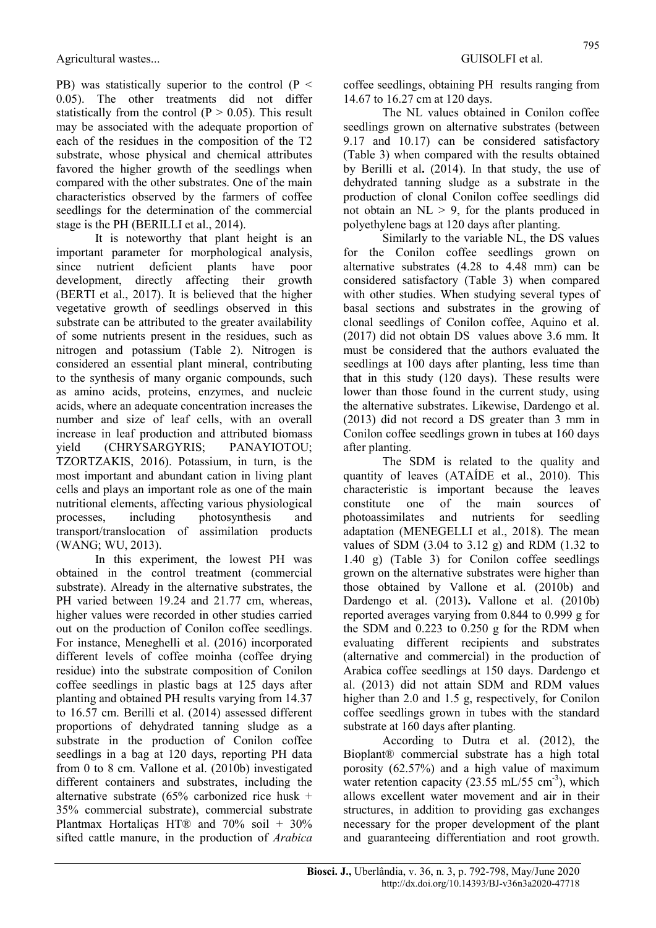PB) was statistically superior to the control ( $P \le$ 0.05). The other treatments did not differ statistically from the control ( $P > 0.05$ ). This result may be associated with the adequate proportion of each of the residues in the composition of the T2 substrate, whose physical and chemical attributes favored the higher growth of the seedlings when compared with the other substrates. One of the main characteristics observed by the farmers of coffee seedlings for the determination of the commercial stage is the PH (BERILLI et al., 2014).

It is noteworthy that plant height is an important parameter for morphological analysis, since nutrient deficient plants have poor development, directly affecting their growth (BERTI et al., 2017). It is believed that the higher vegetative growth of seedlings observed in this substrate can be attributed to the greater availability of some nutrients present in the residues, such as nitrogen and potassium (Table 2). Nitrogen is considered an essential plant mineral, contributing to the synthesis of many organic compounds, such as amino acids, proteins, enzymes, and nucleic acids, where an adequate concentration increases the number and size of leaf cells, with an overall increase in leaf production and attributed biomass yield (CHRYSARGYRIS; PANAYIOTOU; TZORTZAKIS, 2016). Potassium, in turn, is the most important and abundant cation in living plant cells and plays an important role as one of the main nutritional elements, affecting various physiological processes, including photosynthesis and transport/translocation of assimilation products (WANG; WU, 2013).

In this experiment, the lowest PH was obtained in the control treatment (commercial substrate). Already in the alternative substrates, the PH varied between 19.24 and 21.77 cm, whereas, higher values were recorded in other studies carried out on the production of Conilon coffee seedlings. For instance, Meneghelli et al. (2016) incorporated different levels of coffee moinha (coffee drying residue) into the substrate composition of Conilon coffee seedlings in plastic bags at 125 days after planting and obtained PH results varying from 14.37 to 16.57 cm. Berilli et al. (2014) assessed different proportions of dehydrated tanning sludge as a substrate in the production of Conilon coffee seedlings in a bag at 120 days, reporting PH data from 0 to 8 cm. Vallone et al. (2010b) investigated different containers and substrates, including the alternative substrate (65% carbonized rice husk + 35% commercial substrate), commercial substrate Plantmax Hortaliças HT® and 70% soil + 30% sifted cattle manure, in the production of Arabica

coffee seedlings, obtaining PH results ranging from 14.67 to 16.27 cm at 120 days.

The NL values obtained in Conilon coffee seedlings grown on alternative substrates (between 9.17 and 10.17) can be considered satisfactory (Table 3) when compared with the results obtained by Berilli et al. (2014). In that study, the use of dehydrated tanning sludge as a substrate in the production of clonal Conilon coffee seedlings did not obtain an  $NL > 9$ , for the plants produced in polyethylene bags at 120 days after planting.

Similarly to the variable NL, the DS values for the Conilon coffee seedlings grown on alternative substrates (4.28 to 4.48 mm) can be considered satisfactory (Table 3) when compared with other studies. When studying several types of basal sections and substrates in the growing of clonal seedlings of Conilon coffee, Aquino et al. (2017) did not obtain DS values above 3.6 mm. It must be considered that the authors evaluated the seedlings at 100 days after planting, less time than that in this study (120 days). These results were lower than those found in the current study, using the alternative substrates. Likewise, Dardengo et al. (2013) did not record a DS greater than 3 mm in Conilon coffee seedlings grown in tubes at 160 days after planting.

The SDM is related to the quality and quantity of leaves (ATAÍDE et al., 2010). This characteristic is important because the leaves constitute one of the main sources of photoassimilates and nutrients for seedling adaptation (MENEGELLI et al., 2018). The mean values of SDM (3.04 to 3.12 g) and RDM (1.32 to 1.40 g) (Table 3) for Conilon coffee seedlings grown on the alternative substrates were higher than those obtained by Vallone et al. (2010b) and Dardengo et al. (2013). Vallone et al. (2010b) reported averages varying from 0.844 to 0.999 g for the SDM and 0.223 to 0.250 g for the RDM when evaluating different recipients and substrates (alternative and commercial) in the production of Arabica coffee seedlings at 150 days. Dardengo et al. (2013) did not attain SDM and RDM values higher than 2.0 and 1.5 g, respectively, for Conilon coffee seedlings grown in tubes with the standard substrate at 160 days after planting.

According to Dutra et al. (2012), the Bioplant® commercial substrate has a high total porosity (62.57%) and a high value of maximum water retention capacity  $(23.55 \text{ mL}/55 \text{ cm}^3)$ , which allows excellent water movement and air in their structures, in addition to providing gas exchanges necessary for the proper development of the plant and guaranteeing differentiation and root growth.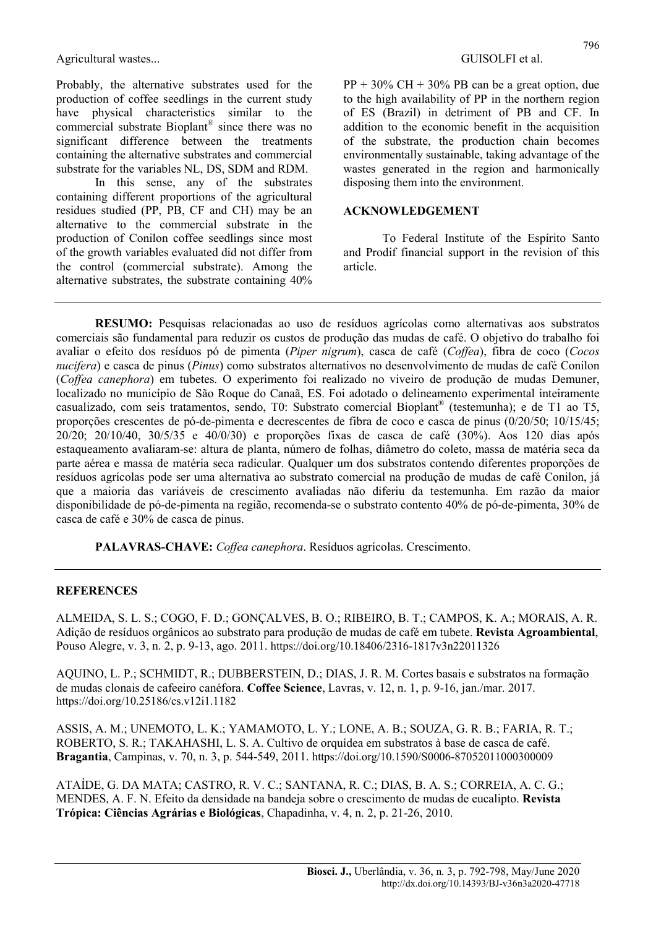Agricultural wastes... Agricultural wastes...

Probably, the alternative substrates used for the production of coffee seedlings in the current study have physical characteristics similar to the commercial substrate Bioplant® since there was no significant difference between the treatments containing the alternative substrates and commercial substrate for the variables NL, DS, SDM and RDM.

In this sense, any of the substrates containing different proportions of the agricultural residues studied (PP, PB, CF and CH) may be an alternative to the commercial substrate in the production of Conilon coffee seedlings since most of the growth variables evaluated did not differ from the control (commercial substrate). Among the alternative substrates, the substrate containing 40% PP + 30% CH + 30% PB can be a great option, due to the high availability of PP in the northern region of ES (Brazil) in detriment of PB and CF. In addition to the economic benefit in the acquisition of the substrate, the production chain becomes environmentally sustainable, taking advantage of the wastes generated in the region and harmonically disposing them into the environment.

#### ACKNOWLEDGEMENT

To Federal Institute of the Espírito Santo and Prodif financial support in the revision of this article.

RESUMO: Pesquisas relacionadas ao uso de resíduos agrícolas como alternativas aos substratos comerciais são fundamental para reduzir os custos de produção das mudas de café. O objetivo do trabalho foi avaliar o efeito dos resíduos pó de pimenta (Piper nigrum), casca de café (Coffea), fibra de coco (Cocos nucifera) e casca de pinus (Pinus) como substratos alternativos no desenvolvimento de mudas de café Conilon (Coffea canephora) em tubetes. O experimento foi realizado no viveiro de produção de mudas Demuner, localizado no município de São Roque do Canaã, ES. Foi adotado o delineamento experimental inteiramente casualizado, com seis tratamentos, sendo, T0: Substrato comercial Bioplant® (testemunha); e de T1 ao T5, proporções crescentes de pó-de-pimenta e decrescentes de fibra de coco e casca de pinus (0/20/50; 10/15/45; 20/20; 20/10/40, 30/5/35 e 40/0/30) e proporções fixas de casca de café (30%). Aos 120 dias após estaqueamento avaliaram-se: altura de planta, número de folhas, diâmetro do coleto, massa de matéria seca da parte aérea e massa de matéria seca radicular. Qualquer um dos substratos contendo diferentes proporções de resíduos agrícolas pode ser uma alternativa ao substrato comercial na produção de mudas de café Conilon, já que a maioria das variáveis de crescimento avaliadas não diferiu da testemunha. Em razão da maior disponibilidade de pó-de-pimenta na região, recomenda-se o substrato contento 40% de pó-de-pimenta, 30% de casca de café e 30% de casca de pinus.

PALAVRAS-CHAVE: Coffea canephora. Resíduos agrícolas. Crescimento.

#### **REFERENCES**

ALMEIDA, S. L. S.; COGO, F. D.; GONÇALVES, B. O.; RIBEIRO, B. T.; CAMPOS, K. A.; MORAIS, A. R. Adição de resíduos orgânicos ao substrato para produção de mudas de café em tubete. Revista Agroambiental, Pouso Alegre, v. 3, n. 2, p. 9-13, ago. 2011. https://doi.org/10.18406/2316-1817v3n22011326

AQUINO, L. P.; SCHMIDT, R.; DUBBERSTEIN, D.; DIAS, J. R. M. Cortes basais e substratos na formação de mudas clonais de cafeeiro canéfora. Coffee Science, Lavras, v. 12, n. 1, p. 9-16, jan./mar. 2017. https://doi.org/10.25186/cs.v12i1.1182

ASSIS, A. M.; UNEMOTO, L. K.; YAMAMOTO, L. Y.; LONE, A. B.; SOUZA, G. R. B.; FARIA, R. T.; ROBERTO, S. R.; TAKAHASHI, L. S. A. Cultivo de orquídea em substratos à base de casca de café. Bragantia, Campinas, v. 70, n. 3, p. 544-549, 2011. https://doi.org/10.1590/S0006-87052011000300009

ATAÍDE, G. DA MATA; CASTRO, R. V. C.; SANTANA, R. C.; DIAS, B. A. S.; CORREIA, A. C. G.; MENDES, A. F. N. Efeito da densidade na bandeja sobre o crescimento de mudas de eucalipto. Revista Trópica: Ciências Agrárias e Biológicas, Chapadinha, v. 4, n. 2, p. 21-26, 2010.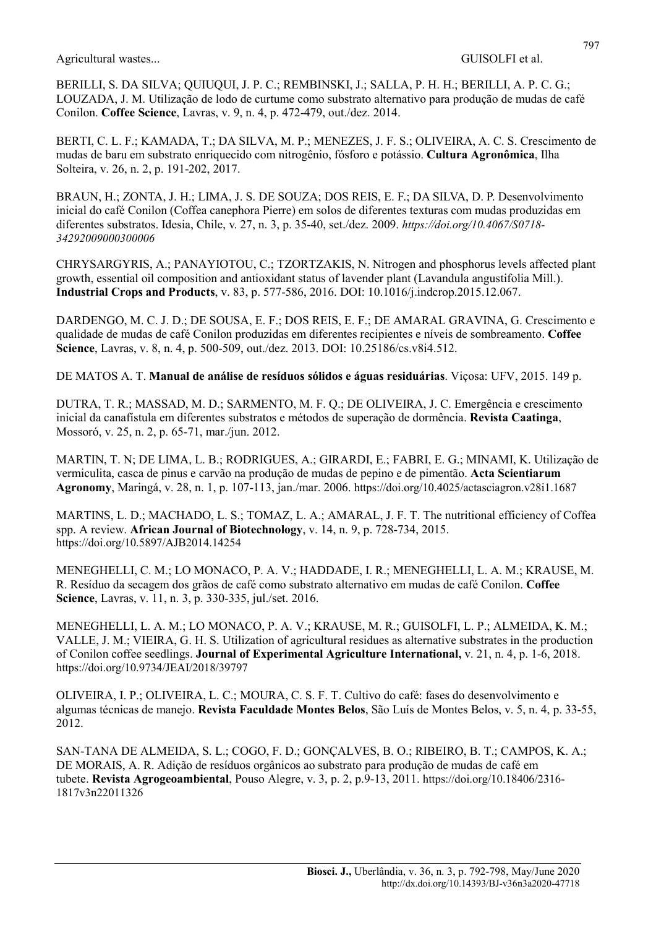Agricultural wastes... Agricultural wastes...

BERILLI, S. DA SILVA; QUIUQUI, J. P. C.; REMBINSKI, J.; SALLA, P. H. H.; BERILLI, A. P. C. G.; LOUZADA, J. M. Utilização de lodo de curtume como substrato alternativo para produção de mudas de café Conilon. Coffee Science, Lavras, v. 9, n. 4, p. 472-479, out./dez. 2014.

BERTI, C. L. F.; KAMADA, T.; DA SILVA, M. P.; MENEZES, J. F. S.; OLIVEIRA, A. C. S. Crescimento de mudas de baru em substrato enriquecido com nitrogênio, fósforo e potássio. Cultura Agronômica, Ilha Solteira, v. 26, n. 2, p. 191-202, 2017.

BRAUN, H.; ZONTA, J. H.; LIMA, J. S. DE SOUZA; DOS REIS, E. F.; DA SILVA, D. P. Desenvolvimento inicial do café Conilon (Coffea canephora Pierre) em solos de diferentes texturas com mudas produzidas em diferentes substratos. Idesia, Chile, v. 27, n. 3, p. 35-40, set./dez. 2009. https://doi.org/10.4067/S0718- 34292009000300006

CHRYSARGYRIS, A.; PANAYIOTOU, C.; TZORTZAKIS, N. Nitrogen and phosphorus levels affected plant growth, essential oil composition and antioxidant status of lavender plant (Lavandula angustifolia Mill.). Industrial Crops and Products, v. 83, p. 577-586, 2016. DOI: 10.1016/j.indcrop.2015.12.067.

DARDENGO, M. C. J. D.; DE SOUSA, E. F.; DOS REIS, E. F.; DE AMARAL GRAVINA, G. Crescimento e qualidade de mudas de café Conilon produzidas em diferentes recipientes e níveis de sombreamento. Coffee Science, Lavras, v. 8, n. 4, p. 500-509, out./dez. 2013. DOI: 10.25186/cs.v8i4.512.

DE MATOS A. T. Manual de análise de resíduos sólidos e águas residuárias. Viçosa: UFV, 2015. 149 p.

DUTRA, T. R.; MASSAD, M. D.; SARMENTO, M. F. Q.; DE OLIVEIRA, J. C. Emergência e crescimento inicial da canafístula em diferentes substratos e métodos de superação de dormência. Revista Caatinga, Mossoró, v. 25, n. 2, p. 65-71, mar./jun. 2012.

MARTIN, T. N; DE LIMA, L. B.; RODRIGUES, A.; GIRARDI, E.; FABRI, E. G.; MINAMI, K. Utilização de vermiculita, casca de pinus e carvão na produção de mudas de pepino e de pimentão. Acta Scientiarum Agronomy, Maringá, v. 28, n. 1, p. 107-113, jan./mar. 2006. https://doi.org/10.4025/actasciagron.v28i1.1687

MARTINS, L. D.; MACHADO, L. S.; TOMAZ, L. A.; AMARAL, J. F. T. The nutritional efficiency of Coffea spp. A review. African Journal of Biotechnology, v. 14, n. 9, p. 728-734, 2015. https://doi.org/10.5897/AJB2014.14254

MENEGHELLI, C. M.; LO MONACO, P. A. V.; HADDADE, I. R.; MENEGHELLI, L. A. M.; KRAUSE, M. R. Resíduo da secagem dos grãos de café como substrato alternativo em mudas de café Conilon. Coffee Science, Lavras, v. 11, n. 3, p. 330-335, jul./set. 2016.

MENEGHELLI, L. A. M.; LO MONACO, P. A. V.; KRAUSE, M. R.; GUISOLFI, L. P.; ALMEIDA, K. M.; VALLE, J. M.; VIEIRA, G. H. S. Utilization of agricultural residues as alternative substrates in the production of Conilon coffee seedlings. Journal of Experimental Agriculture International, v. 21, n. 4, p. 1-6, 2018. https://doi.org/10.9734/JEAI/2018/39797

OLIVEIRA, I. P.; OLIVEIRA, L. C.; MOURA, C. S. F. T. Cultivo do café: fases do desenvolvimento e algumas técnicas de manejo. Revista Faculdade Montes Belos, São Luís de Montes Belos, v. 5, n. 4, p. 33-55, 2012.

SAN-TANA DE ALMEIDA, S. L.; COGO, F. D.; GONÇALVES, B. O.; RIBEIRO, B. T.; CAMPOS, K. A.; DE MORAIS, A. R. Adição de resíduos orgânicos ao substrato para produção de mudas de café em tubete. Revista Agrogeoambiental, Pouso Alegre, v. 3, p. 2, p.9-13, 2011. https://doi.org/10.18406/2316- 1817v3n22011326